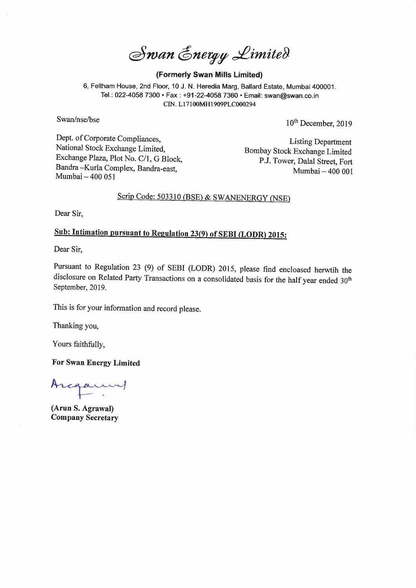Swan Energy Limited

#### (Formerly Swan Mills Limited)

6, Feltham House, 2nd Floor, 10 J. N. Heredia Marg, Ballard Estate, Mumbai 400001. Tel.: 022-4058 7300 \* Fax : +91-22-4058 7360 + Email: swan@swan.co.in CIN. L17100MH1909PLC000294

Swan/nse/bse 10<sup>th</sup> December, 2019

Dept. of Corporate Compliances,<br>
National Stock Exchange Limited,<br>
Exchange Plaza, Plot No. C/1, G Block,<br>
Bombay Stock Exchange Limited<br>
P.J. Tower, Dalal Street, Fort<br>
Bandra --Kurla Complex, Bandra-east,<br>
Mumbai – 400 0

## Scrip Code: 503310 (BSE) & SWANENERGY (NSE)

Dear Sir,

## Sub: Intimation pursuant to Regulation 23(9) of SEBI (LODR) 2015:

Dear Sir,

Pursuant to Regulation 23 (9) of SEBI (LODR) 2015, please find encloased herwtih the disclosure on Related Party Transactions on a consolidated basis for the half year ended 30" September, 2019.

This is for your information and record please.

Thanking you,

Yours faithfully,

For Swan Energy Limited

Arcanny

(Arun S. Agrawal) Company Secretary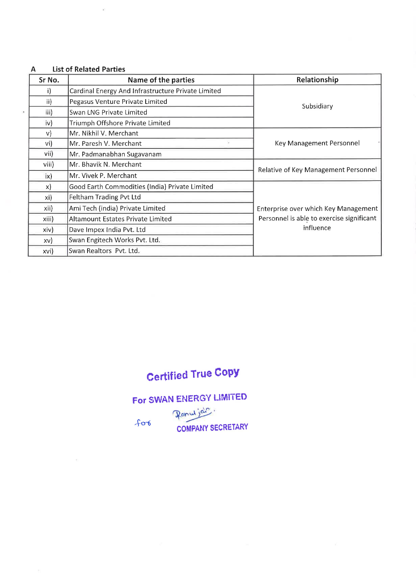### A List of Related Parties

|               | $\sim$                                                   |                                           |
|---------------|----------------------------------------------------------|-------------------------------------------|
|               |                                                          |                                           |
|               |                                                          |                                           |
|               |                                                          |                                           |
|               |                                                          |                                           |
| A             | <b>List of Related Parties</b>                           |                                           |
| Sr No.        | Name of the parties                                      | Relationship                              |
| i)            | Cardinal Energy And Infrastructure Private Limited       |                                           |
| $\mathsf{ii}$ | Pegasus Venture Private Limited                          | Subsidiary                                |
| iii)          | Swan LNG Private Limited                                 |                                           |
| iv)           | Triumph Offshore Private Limited                         |                                           |
| $\vee$        | Mr. Nikhil V. Merchant                                   |                                           |
| vi)           | Mr. Paresh V. Merchant<br>$\blacksquare$                 | Key Management Personnel                  |
| vii)          |                                                          |                                           |
| viii)         | Mr. Padmanabhan Sugavanam                                |                                           |
| ix)           | Mr. Bhavik N. Merchant                                   |                                           |
| $\mathsf{x}$  | Mr. Vivek P. Merchant                                    | Relative of Key Management Personnel      |
|               | Good Earth Commodities (India) Private Limited           |                                           |
| xi)           | Feltham Trading Pvt Ltd                                  |                                           |
| xii)          | Ami Tech (india) Private Limited                         | Enterprise over which Key Management      |
| xiii)         | Altamount Estates Private Limited                        | Personnel is able to exercise significant |
| xiv)          | Dave Impex India Pvt. Ltd                                | influence                                 |
| xv)<br>xvi)   | Swan Engitech Works Pvt. Ltd.<br>Swan Realtors Pvt. Ltd. |                                           |

# Certified True Copy

For SWAN ENERGY LIMITED

Ranu jab. ros COMPANY SECRETARY